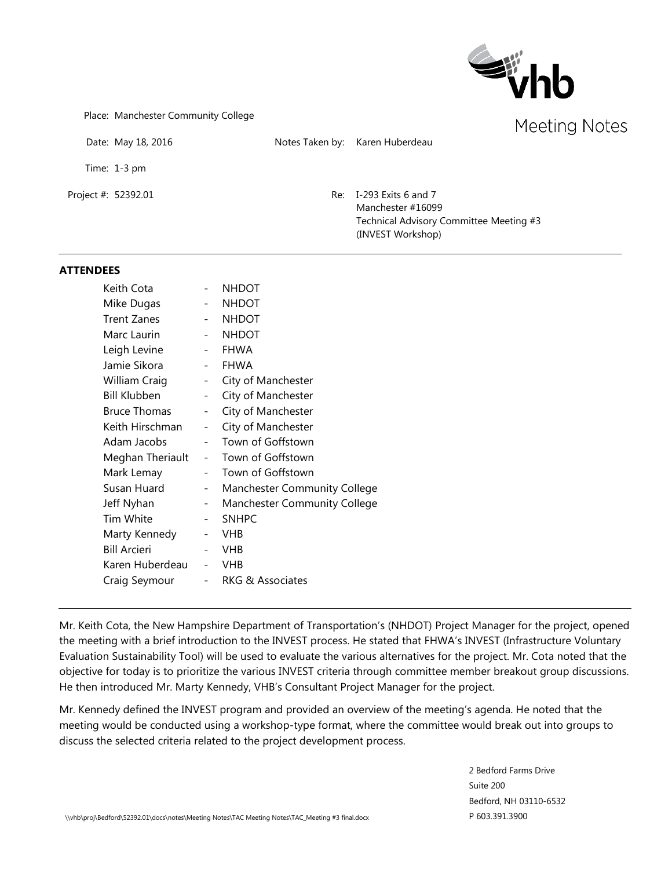

Place: Manchester Community College

Date: May 18, 2016 Notes Taken by: Karen Huberdeau

Time: 1-3 pm

Project #: 52392.01 Re: I-293 Exits 6 and 7 Manchester #16099 Technical Advisory Committee Meeting #3 (INVEST Workshop)

#### **ATTENDEES**

| Keith Cota          |                          | <b>NHDOT</b>                        |
|---------------------|--------------------------|-------------------------------------|
| Mike Dugas          |                          | <b>NHDOT</b>                        |
| <b>Trent Zanes</b>  |                          | <b>NHDOT</b>                        |
| Marc Laurin         |                          | <b>NHDOT</b>                        |
| Leigh Levine        |                          | <b>FHWA</b>                         |
| Jamie Sikora        |                          | <b>FHWA</b>                         |
| William Craig       | $\sim 100$               | City of Manchester                  |
| <b>Bill Klubben</b> | $\sim$                   | City of Manchester                  |
| <b>Bruce Thomas</b> |                          | City of Manchester                  |
| Keith Hirschman     | $\overline{\phantom{a}}$ | City of Manchester                  |
| Adam Jacobs         | $\overline{\phantom{a}}$ | Town of Goffstown                   |
| Meghan Theriault    | $\overline{\phantom{0}}$ | Town of Goffstown                   |
| Mark Lemay          | $-$                      | Town of Goffstown                   |
| Susan Huard         | $\overline{\phantom{a}}$ | <b>Manchester Community College</b> |
| Jeff Nyhan          | $\overline{\phantom{a}}$ | <b>Manchester Community College</b> |
| Tim White           | $\overline{\phantom{a}}$ | <b>SNHPC</b>                        |
| Marty Kennedy       |                          | <b>VHB</b>                          |
| <b>Bill Arcieri</b> |                          | <b>VHB</b>                          |
| Karen Huberdeau     | $\qquad \qquad -$        | VHB                                 |
| Craig Seymour       |                          | <b>RKG &amp; Associates</b>         |
|                     |                          |                                     |

Mr. Keith Cota, the New Hampshire Department of Transportation's (NHDOT) Project Manager for the project, opened the meeting with a brief introduction to the INVEST process. He stated that FHWA's INVEST (Infrastructure Voluntary Evaluation Sustainability Tool) will be used to evaluate the various alternatives for the project. Mr. Cota noted that the objective for today is to prioritize the various INVEST criteria through committee member breakout group discussions. He then introduced Mr. Marty Kennedy, VHB's Consultant Project Manager for the project.

Mr. Kennedy defined the INVEST program and provided an overview of the meeting's agenda. He noted that the meeting would be conducted using a workshop-type format, where the committee would break out into groups to discuss the selected criteria related to the project development process.

> 2 Bedford Farms Drive Suite 200 Bedford, NH 03110-6532 P 603.391.3900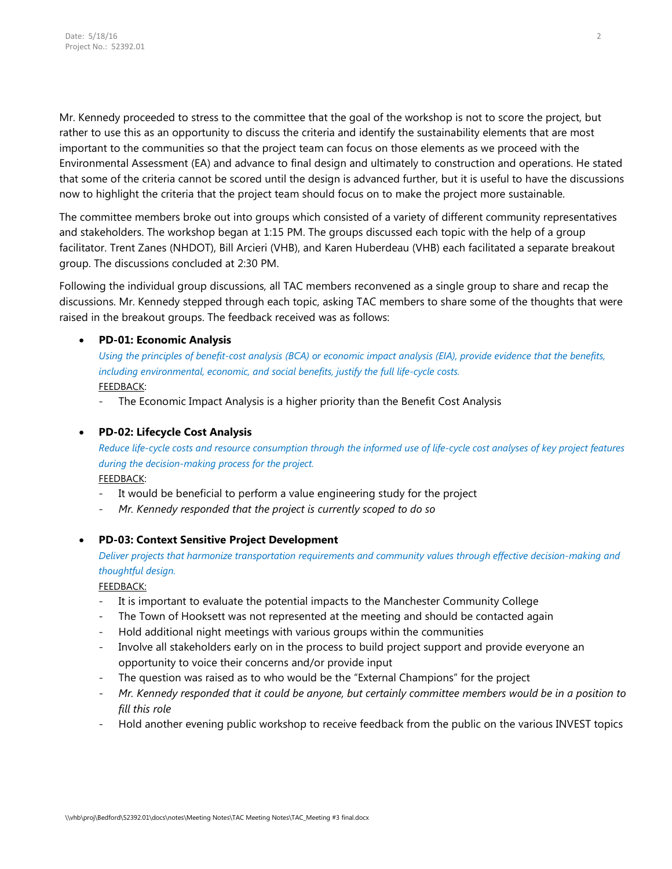Mr. Kennedy proceeded to stress to the committee that the goal of the workshop is not to score the project, but rather to use this as an opportunity to discuss the criteria and identify the sustainability elements that are most important to the communities so that the project team can focus on those elements as we proceed with the Environmental Assessment (EA) and advance to final design and ultimately to construction and operations. He stated that some of the criteria cannot be scored until the design is advanced further, but it is useful to have the discussions now to highlight the criteria that the project team should focus on to make the project more sustainable.

The committee members broke out into groups which consisted of a variety of different community representatives and stakeholders. The workshop began at 1:15 PM. The groups discussed each topic with the help of a group facilitator. Trent Zanes (NHDOT), Bill Arcieri (VHB), and Karen Huberdeau (VHB) each facilitated a separate breakout group. The discussions concluded at 2:30 PM.

Following the individual group discussions, all TAC members reconvened as a single group to share and recap the discussions. Mr. Kennedy stepped through each topic, asking TAC members to share some of the thoughts that were raised in the breakout groups. The feedback received was as follows:

## • **PD-01: Economic Analysis**

*Using the principles of benefit-cost analysis (BCA) or economic impact analysis (EIA), provide evidence that the benefits, including environmental, economic, and social benefits, justify the full life-cycle costs.* FEEDBACK:

- The Economic Impact Analysis is a higher priority than the Benefit Cost Analysis

## • **PD-02: Lifecycle Cost Analysis**

*Reduce life-cycle costs and resource consumption through the informed use of life-cycle cost analyses of key project features during the decision-making process for the project.* 

FEEDBACK:

- It would be beneficial to perform a value engineering study for the project
- *Mr. Kennedy responded that the project is currently scoped to do so*

### • **PD-03: Context Sensitive Project Development**

*Deliver projects that harmonize transportation requirements and community values through effective decision-making and thoughtful design.* 

FEEDBACK:

- It is important to evaluate the potential impacts to the Manchester Community College
- The Town of Hooksett was not represented at the meeting and should be contacted again
- Hold additional night meetings with various groups within the communities
- Involve all stakeholders early on in the process to build project support and provide everyone an opportunity to voice their concerns and/or provide input
- The question was raised as to who would be the "External Champions" for the project
- *Mr. Kennedy responded that it could be anyone, but certainly committee members would be in a position to fill this role*
- Hold another evening public workshop to receive feedback from the public on the various INVEST topics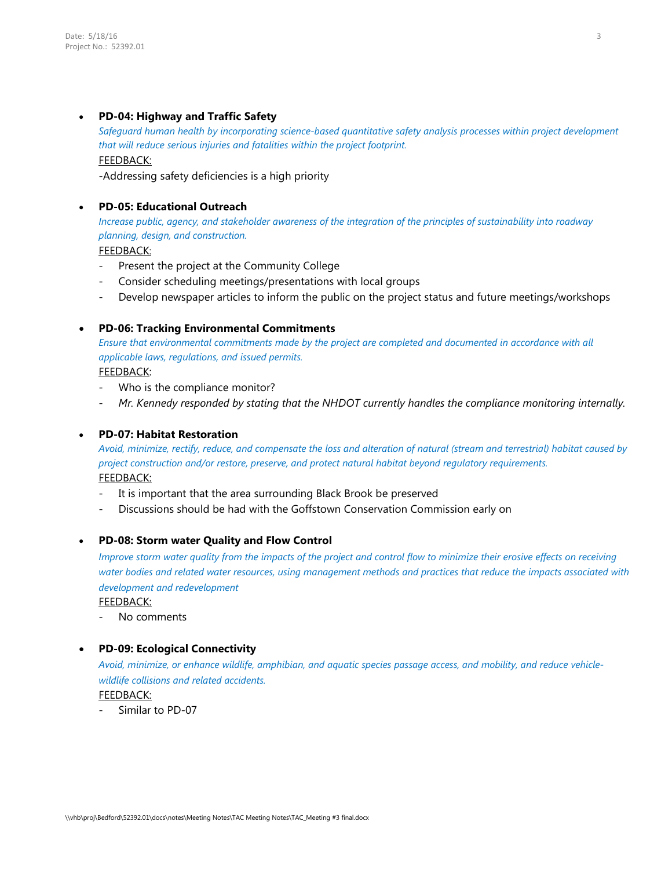### • **PD-04: Highway and Traffic Safety**

*Safeguard human health by incorporating science-based quantitative safety analysis processes within project development that will reduce serious injuries and fatalities within the project footprint.*  FEEDBACK:

-Addressing safety deficiencies is a high priority

## • **PD-05: Educational Outreach**

*Increase public, agency, and stakeholder awareness of the integration of the principles of sustainability into roadway planning, design, and construction.*

FEEDBACK:

- Present the project at the Community College
- Consider scheduling meetings/presentations with local groups
- Develop newspaper articles to inform the public on the project status and future meetings/workshops

#### • **PD-06: Tracking Environmental Commitments**

*Ensure that environmental commitments made by the project are completed and documented in accordance with all applicable laws, regulations, and issued permits.*

FEEDBACK:

- Who is the compliance monitor?
- *Mr. Kennedy responded by stating that the NHDOT currently handles the compliance monitoring internally.*

#### • **PD-07: Habitat Restoration**

*Avoid, minimize, rectify, reduce, and compensate the loss and alteration of natural (stream and terrestrial) habitat caused by project construction and/or restore, preserve, and protect natural habitat beyond regulatory requirements.* FEEDBACK:

- It is important that the area surrounding Black Brook be preserved
- Discussions should be had with the Goffstown Conservation Commission early on

### • **PD-08: Storm water Quality and Flow Control**

*Improve storm water quality from the impacts of the project and control flow to minimize their erosive effects on receiving water bodies and related water resources, using management methods and practices that reduce the impacts associated with development and redevelopment*

FEEDBACK:

No comments

### • **PD-09: Ecological Connectivity**

*Avoid, minimize, or enhance wildlife, amphibian, and aquatic species passage access, and mobility, and reduce vehiclewildlife collisions and related accidents.* FEEDBACK:

- Similar to PD-07

3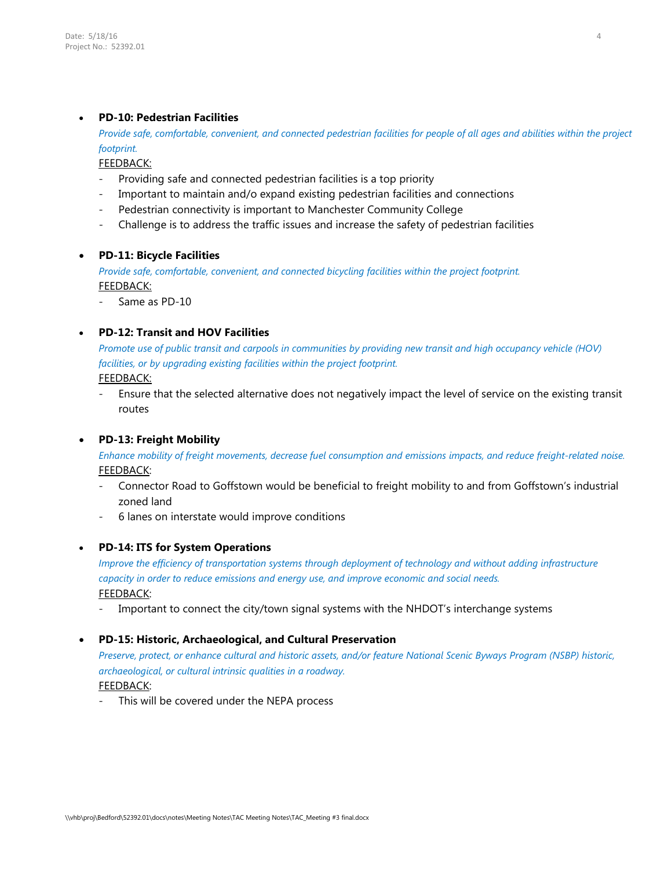### • **PD-10: Pedestrian Facilities**

*Provide safe, comfortable, convenient, and connected pedestrian facilities for people of all ages and abilities within the project footprint.*

FEEDBACK:

- Providing safe and connected pedestrian facilities is a top priority
- Important to maintain and/o expand existing pedestrian facilities and connections
- Pedestrian connectivity is important to Manchester Community College
- Challenge is to address the traffic issues and increase the safety of pedestrian facilities

### • **PD-11: Bicycle Facilities**

*Provide safe, comfortable, convenient, and connected bicycling facilities within the project footprint.* FEEDBACK:

Same as PD-10

## • **PD-12: Transit and HOV Facilities**

*Promote use of public transit and carpools in communities by providing new transit and high occupancy vehicle (HOV)*  facilities, or by upgrading existing facilities within the project footprint. FEEDBACK:

- Ensure that the selected alternative does not negatively impact the level of service on the existing transit routes

### • **PD-13: Freight Mobility**

*Enhance mobility of freight movements, decrease fuel consumption and emissions impacts, and reduce freight-related noise.* FEEDBACK:

- Connector Road to Goffstown would be beneficial to freight mobility to and from Goffstown's industrial zoned land
- 6 lanes on interstate would improve conditions

### • **PD-14: ITS for System Operations**

*Improve the efficiency of transportation systems through deployment of technology and without adding infrastructure capacity in order to reduce emissions and energy use, and improve economic and social needs.* FEEDBACK:

Important to connect the city/town signal systems with the NHDOT's interchange systems

### • **PD-15: Historic, Archaeological, and Cultural Preservation**

*Preserve, protect, or enhance cultural and historic assets, and/or feature National Scenic Byways Program (NSBP) historic, archaeological, or cultural intrinsic qualities in a roadway.*  FEEDBACK:

This will be covered under the NEPA process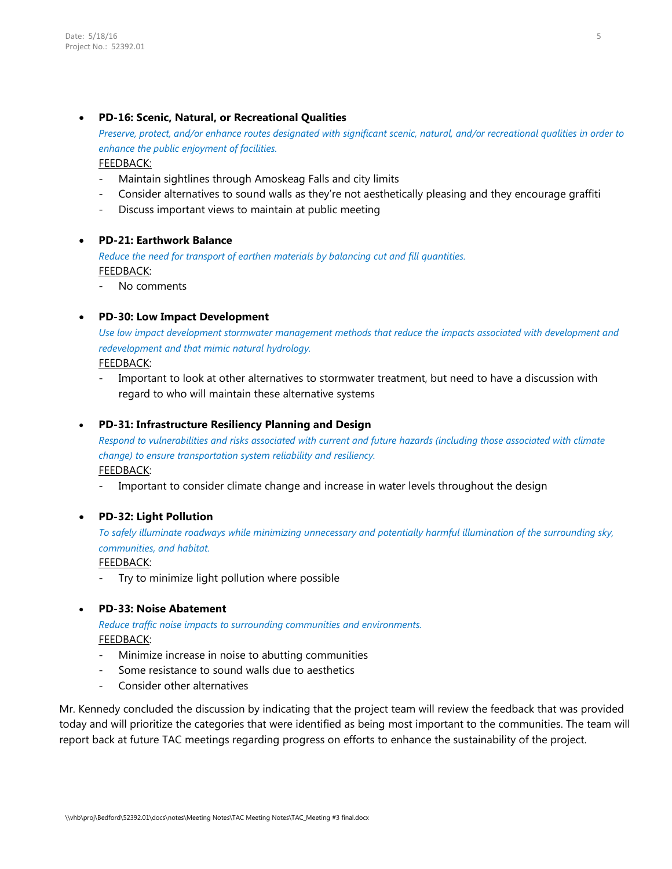### • **PD-16: Scenic, Natural, or Recreational Qualities**

*Preserve, protect, and/or enhance routes designated with significant scenic, natural, and/or recreational qualities in order to enhance the public enjoyment of facilities.*

FEEDBACK:

- Maintain sightlines through Amoskeag Falls and city limits
- Consider alternatives to sound walls as they're not aesthetically pleasing and they encourage graffiti
- Discuss important views to maintain at public meeting

## • **PD-21: Earthwork Balance**

*Reduce the need for transport of earthen materials by balancing cut and fill quantities.* FEEDBACK:

No comments

## • **PD-30: Low Impact Development**

*Use low impact development stormwater management methods that reduce the impacts associated with development and redevelopment and that mimic natural hydrology.*

FEEDBACK:

Important to look at other alternatives to stormwater treatment, but need to have a discussion with regard to who will maintain these alternative systems

### • **PD-31: Infrastructure Resiliency Planning and Design**

*Respond to vulnerabilities and risks associated with current and future hazards (including those associated with climate change) to ensure transportation system reliability and resiliency.* FEEDBACK:

Important to consider climate change and increase in water levels throughout the design

# • **PD-32: Light Pollution**

*To safely illuminate roadways while minimizing unnecessary and potentially harmful illumination of the surrounding sky, communities, and habitat.*

FEEDBACK:

Try to minimize light pollution where possible

### • **PD-33: Noise Abatement**

*Reduce traffic noise impacts to surrounding communities and environments.* FEEDBACK:

- Minimize increase in noise to abutting communities
- Some resistance to sound walls due to aesthetics
- Consider other alternatives

Mr. Kennedy concluded the discussion by indicating that the project team will review the feedback that was provided today and will prioritize the categories that were identified as being most important to the communities. The team will report back at future TAC meetings regarding progress on efforts to enhance the sustainability of the project.